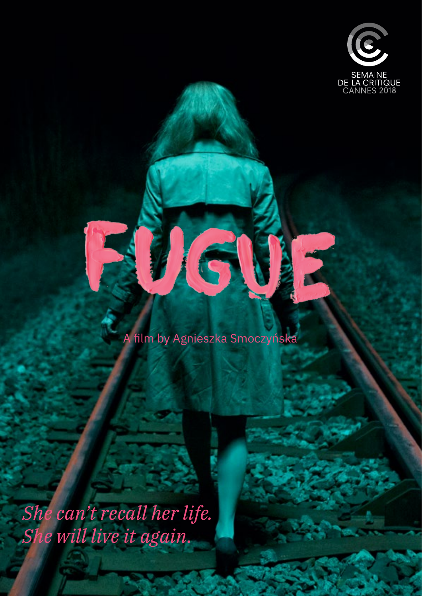

1

#### A film by Agnieszka Smoczyńska

16

*She can't recall her life. She will live it again.*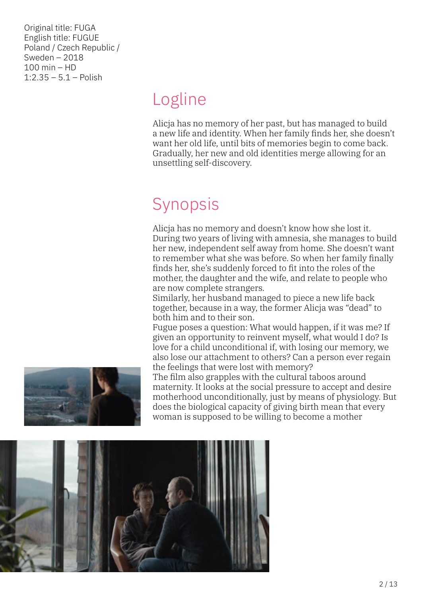Original title: FUGA English title: FUGUE Poland / Czech Republic / Sweden – 2018 100 min – HD  $1:2.35 - 5.1 -$  Polish

# Logline

Alicja has no memory of her past, but has managed to build a new life and identity. When her family finds her, she doesn't want her old life, until bits of memories begin to come back. Gradually, her new and old identities merge allowing for an unsettling self-discovery.

# Synopsis

Alicja has no memory and doesn't know how she lost it. During two years of living with amnesia, she manages to build her new, independent self away from home. She doesn't want to remember what she was before. So when her family finally finds her, she's suddenly forced to fit into the roles of the mother, the daughter and the wife, and relate to people who are now complete strangers.

Similarly, her husband managed to piece a new life back together, because in a way, the former Alicja was "dead" to both him and to their son.

Fugue poses a question: What would happen, if it was me? If given an opportunity to reinvent myself, what would I do? Is love for a child unconditional if, with losing our memory, we also lose our attachment to others? Can a person ever regain the feelings that were lost with memory?

The film also grapples with the cultural taboos around maternity. It looks at the social pressure to accept and desire motherhood unconditionally, just by means of physiology. But does the biological capacity of giving birth mean that every woman is supposed to be willing to become a mother

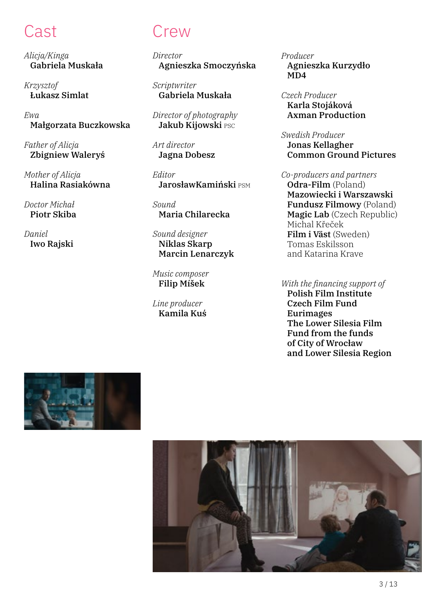*Alicja/Kinga* Gabriela Muskała

*Krzysztof* Łukasz Simlat

*Ewa* Małgorzata Buczkowska

*Father of Alicja* Zbigniew Waleryś

*Mother of Alicja* Halina Rasiakówna

*Doctor Michał* Piotr Skiba

*Daniel* Iwo Rajski

### Cast Crew

*Director* Agnieszka Smoczyńska

*Scriptwriter* Gabriela Muskała

*Director of photography* Jakub Kijowski PSC

*Art director* Jagna Dobesz

*Editor* JarosławKamiński psm

*Sound* Maria Chilarecka

*Sound designer* Niklas Skarp Marcin Lenarczyk

*Music composer* Filip Míšek

*Line producer* Kamila Kuś *Producer* Agnieszka Kurzydło MD4

*Czech Producer* Karla Stojáková Axman Production

*Swedish Producer* Jonas Kellagher Common Ground Pictures

*Co-producers and partners* Odra-Film (Poland) Mazowiecki i Warszawski Fundusz Filmowy (Poland) Magic Lab (Czech Republic) Michal Křeček Film i Väst (Sweden) Tomas Eskilsson and Katarina Krave

*With the financing support of* Polish Film Institute Czech Film Fund Eurimages The Lower Silesia Film Fund from the funds of City of Wrocław and Lower Silesia Region



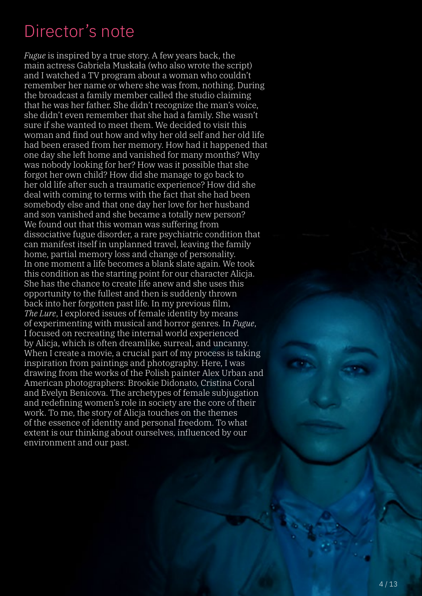# Director's note

*Fugue* is inspired by a true story. A few years back, the main actress Gabriela Muskała (who also wrote the script) and I watched a TV program about a woman who couldn't remember her name or where she was from, nothing. During the broadcast a family member called the studio claiming that he was her father. She didn't recognize the man's voice, she didn't even remember that she had a family. She wasn't sure if she wanted to meet them. We decided to visit this woman and find out how and why her old self and her old life had been erased from her memory. How had it happened that one day she left home and vanished for many months? Why was nobody looking for her? How was it possible that she forgot her own child? How did she manage to go back to her old life after such a traumatic experience? How did she deal with coming to terms with the fact that she had been somebody else and that one day her love for her husband and son vanished and she became a totally new person? We found out that this woman was suffering from dissociative fugue disorder, a rare psychiatric condition that can manifest itself in unplanned travel, leaving the family home, partial memory loss and change of personality. In one moment a life becomes a blank slate again. We took this condition as the starting point for our character Alicja. She has the chance to create life anew and she uses this opportunity to the fullest and then is suddenly thrown back into her forgotten past life. In my previous film, *The Lure*, I explored issues of female identity by means of experimenting with musical and horror genres. In *Fugue*, I focused on recreating the internal world experienced by Alicja, which is often dreamlike, surreal, and uncanny. When I create a movie, a crucial part of my process is taking inspiration from paintings and photography. Here, I was drawing from the works of the Polish painter Alex Urban and American photographers: Brookie Didonato, Cristina Coral and Evelyn Benicova. The archetypes of female subjugation and redefining women's role in society are the core of their work. To me, the story of Alicja touches on the themes of the essence of identity and personal freedom. To what extent is our thinking about ourselves, influenced by our environment and our past.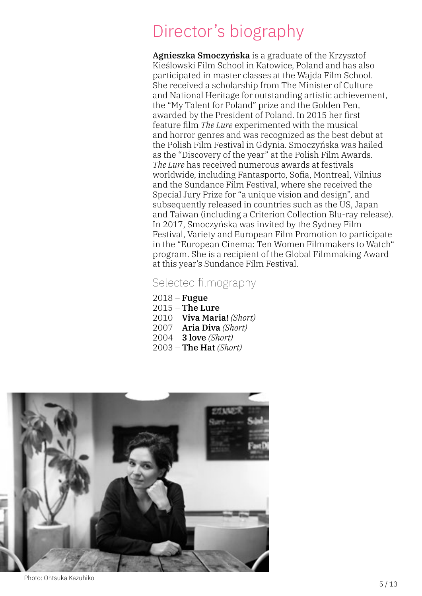# Director's biography

Agnieszka Smoczyńska is a graduate of the Krzysztof Kieślowski Film School in Katowice, Poland and has also participated in master classes at the Wajda Film School. She received a scholarship from The Minister of Culture and National Heritage for outstanding artistic achievement, the "My Talent for Poland" prize and the Golden Pen, awarded by the President of Poland. In 2015 her first feature film *The Lure* experimented with the musical and horror genres and was recognized as the best debut at the Polish Film Festival in Gdynia. Smoczyńska was hailed as the "Discovery of the year" at the Polish Film Awards. *The Lure* has received numerous awards at festivals worldwide, including Fantasporto, Sofia, Montreal, Vilnius and the Sundance Film Festival, where she received the Special Jury Prize for "a unique vision and design", and subsequently released in countries such as the US, Japan and Taiwan (including a Criterion Collection Blu-ray release). In 2017, Smoczyńska was invited by the Sydney Film Festival, Variety and European Film Promotion to participate in the "European Cinema: Ten Women Filmmakers to Watch" program. She is a recipient of the Global Filmmaking Award at this year's Sundance Film Festival.

#### Selected filmography

 $2018$  – Fugue  $2015$  – The Lure 2010 – Viva Maria! *(Short)* 2007 – Aria Diva *(Short)* 2004 – 3 love *(Short)* 2003 – The Hat *(Short)*



Photo: Ohtsuka Kazuhiko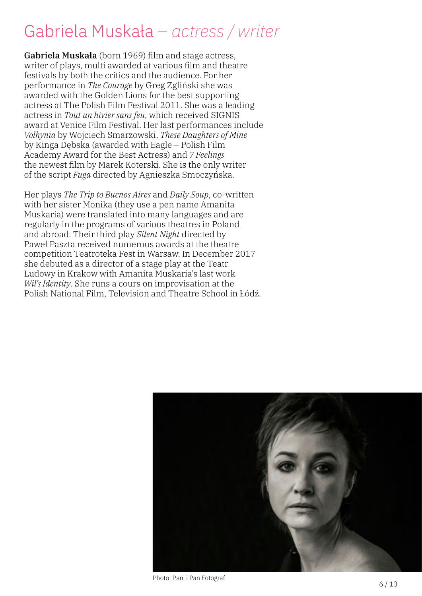# Gabriela Muskała *– actress / writer*

Gabriela Muskała (born 1969) film and stage actress, writer of plays, multi awarded at various film and theatre festivals by both the critics and the audience. For her performance in *The Courage* by Greg Zgliński she was awarded with the Golden Lions for the best supporting actress at The Polish Film Festival 2011. She was a leading actress in *Tout un hivier sans feu*, which received SIGNIS award at Venice Film Festival. Her last performances include *Volhynia* by Wojciech Smarzowski, *These Daughters of Mine* by Kinga Dębska (awarded with Eagle – Polish Film Academy Award for the Best Actress) and *7 Feelings* the newest film by Marek Koterski. She is the only writer of the script *Fuga* directed by Agnieszka Smoczyńska.

Her plays *The Trip to Buenos Aires* and *Daily Soup*, co-written with her sister Monika (they use a pen name Amanita Muskaria) were translated into many languages and are regularly in the programs of various theatres in Poland and abroad. Their third play *Silent Night* directed by Paweł Paszta received numerous awards at the theatre competition Teatroteka Fest in Warsaw. In December 2017 she debuted as a director of a stage play at the Teatr Ludowy in Krakow with Amanita Muskaria's last work *Wil's Identity*. She runs a cours on improvisation at the Polish National Film, Television and Theatre School in Łódź.



Photo: Pani i Pan Fotograf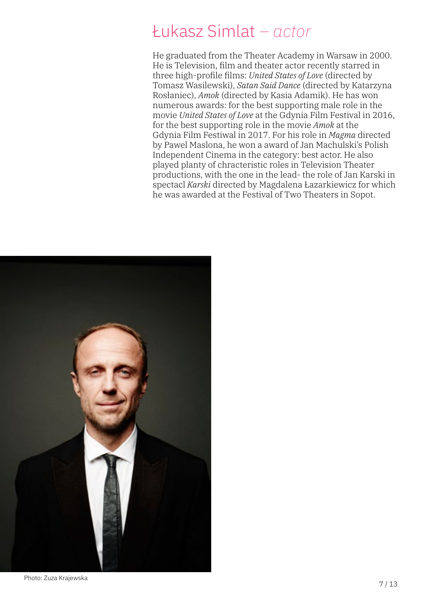### Łukasz Simlat *– actor*

He graduated from the Theater Academy in Warsaw in 2000. He is Television, film and theater actor recently starred in three high-profile films: *United States of Love* (directed by Tomasz Wasilewski), *Satan Said Dance* (directed by Katarzyna Rosłaniec), *Amok* (directed by Kasia Adamik). He has won numerous awards: for the best supporting male role in the movie *United States of Love* at the Gdynia Film Festival in 2016, for the best supporting role in the movie *Amok* at the Gdynia Film Festiwal in 2017. For his role in *Magma* directed by Pawel Maslona, he won a award of Jan Machulski's Polish Independent Cinema in the category: best actor. He also played planty of chracteristic roles in Television Theater productions, with the one in the lead- the role of Jan Karski in spectacl *Karski* directed by Magdalena Łazarkiewicz for which he was awarded at the Festival of Two Theaters in Sopot.

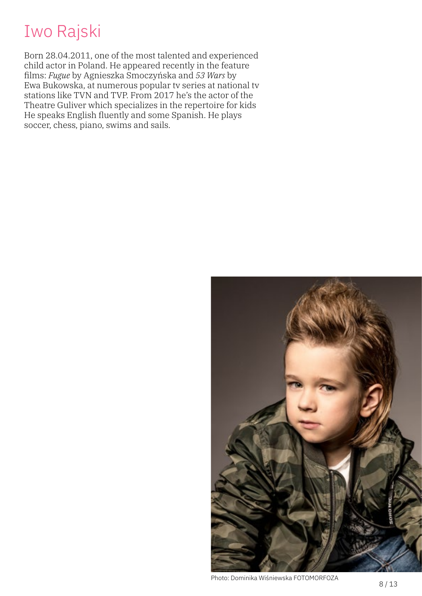### Iwo Rajski

Born 28.04.2011, one of the most talented and experienced child actor in Poland. He appeared recently in the feature films: *Fugue* by Agnieszka Smoczyńska and *53 Wars* by Ewa Bukowska, at numerous popular tv series at national tv stations like TVN and TVP. From 2017 he's the actor of the Theatre Guliver which specializes in the repertoire for kids He speaks English fluently and some Spanish. He plays soccer, chess, piano, swims and sails.



Photo: Dominika Wiśniewska FOTOMORFOZA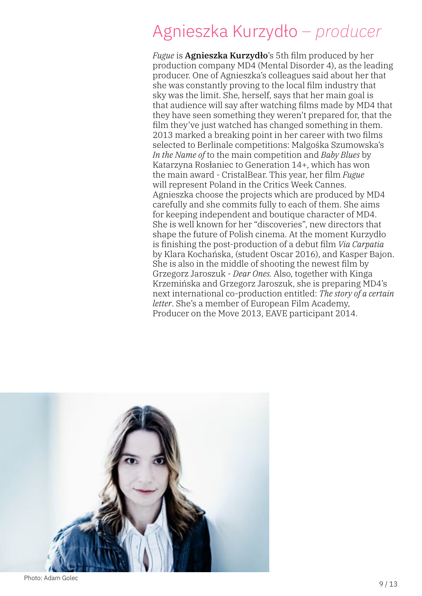# Agnieszka Kurzydło *– producer*

*Fugue* is Agnieszka Kurzydło's 5th film produced by her production company MD4 (Mental Disorder 4), as the leading producer. One of Agnieszka's colleagues said about her that she was constantly proving to the local film industry that sky was the limit. She, herself, says that her main goal is that audience will say after watching films made by MD4 that they have seen something they weren't prepared for, that the film they've just watched has changed something in them. 2013 marked a breaking point in her career with two films selected to Berlinale competitions: Malgośka Szumowska's *In the Name of* to the main competition and *Baby Blues* by Katarzyna Rosłaniec to Generation 14+, which has won the main award - CristalBear. This year, her film *Fugue* will represent Poland in the Critics Week Cannes. Agnieszka choose the projects which are produced by MD4 carefully and she commits fully to each of them. She aims for keeping independent and boutique character of MD4. She is well known for her "discoveries", new directors that shape the future of Polish cinema. At the moment Kurzydło is finishing the post-production of a debut film *Via Carpatia* by Klara Kochańska, (student Oscar 2016), and Kasper Bajon. She is also in the middle of shooting the newest film by Grzegorz Jaroszuk - *Dear Ones.* Also, together with Kinga Krzemińska and Grzegorz Jaroszuk, she is preparing MD4's next international co-production entitled: *The story of a certain letter*. She's a member of European Film Academy, Producer on the Move 2013, EAVE participant 2014.



Photo: Adam Golec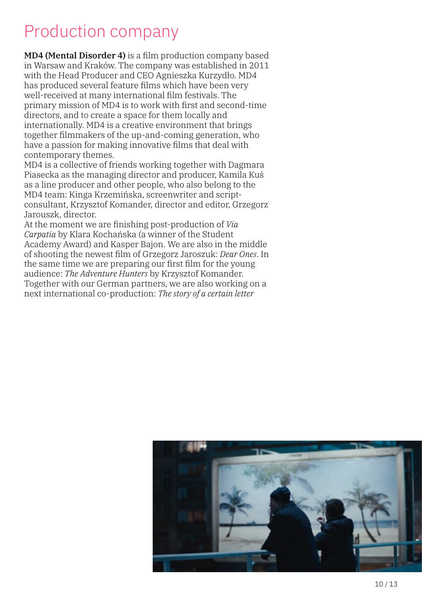### Production company

MD4 (Mental Disorder 4) is a film production company based in Warsaw and Kraków. The company was established in 2011 with the Head Producer and CEO Agnieszka Kurzydło. MD4 has produced several feature films which have been very well-received at many international film festivals. The primary mission of MD4 is to work with first and second-time directors, and to create a space for them locally and internationally. MD4 is a creative environment that brings together filmmakers of the up-and-coming generation, who have a passion for making innovative films that deal with contemporary themes.

MD4 is a collective of friends working together with Dagmara Piasecka as the managing director and producer, Kamila Kuś as a line producer and other people, who also belong to the MD4 team: Kinga Krzemińska, screenwriter and scriptconsultant, Krzysztof Komander, director and editor, Grzegorz Jarouszk, director.

At the moment we are finishing post-production of *Via Carpatia* by Klara Kochańska (a winner of the Student Academy Award) and Kasper Bajon. We are also in the middle of shooting the newest film of Grzegorz Jaroszuk: *Dear Ones*. In the same time we are preparing our first film for the young audience: *The Adventure Hunters* by Krzysztof Komander. Together with our German partners, we are also working on a next international co-production: *The story of a certain letter*

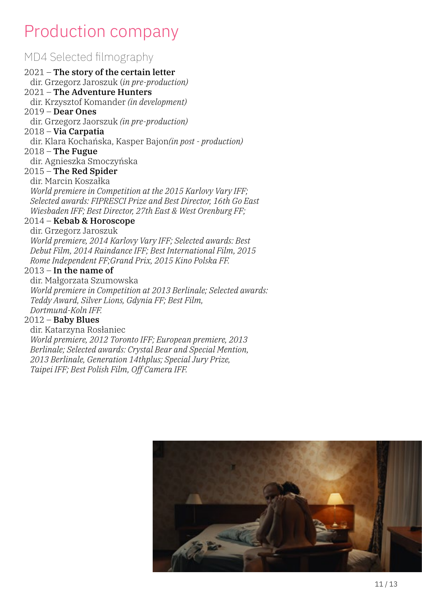## Production company

#### MD4 Selected filmography

#### 2021 – The story of the certain letter dir. Grzegorz Jaroszuk (*in pre-production)* 2021 – The Adventure Hunters dir. Krzysztof Komander *(in development)* 2019 – Dear Ones dir. Grzegorz Jaorszuk *(in pre-production)* 2018 – Via Carpatia dir. Klara Kochańska, Kasper Bajon*(in post - production)*  $2018$  – The Fugue dir. Agnieszka Smoczyńska 2015 – The Red Spider dir. Marcin Koszałka *World premiere in Competition at the 2015 Karlovy Vary IFF; Selected awards: FIPRESCI Prize and Best Director, 16th Go East Wiesbaden IFF; Best Director, 27th East & West Orenburg FF;* 2014 – Kebab & Horoscope dir. Grzegorz Jaroszuk *World premiere, 2014 Karlovy Vary IFF; Selected awards: Best Debut Film, 2014 Raindance IFF; Best International Film, 2015 Rome Independent FF;Grand Prix, 2015 Kino Polska FF.*  $2013 -$  In the name of

dir. Małgorzata Szumowska *World premiere in Competition at 2013 Berlinale; Selected awards: Teddy Award, Silver Lions, Gdynia FF; Best Film, Dortmund-Koln IFF.*

#### $2012$  – Baby Blues

dir. Katarzyna Rosłaniec *World premiere, 2012 Toronto IFF; European premiere, 2013 Berlinale; Selected awards: Crystal Bear and Special Mention, 2013 Berlinale, Generation 14thplus; Special Jury Prize, Taipei IFF; Best Polish Film, Off Camera IFF.*

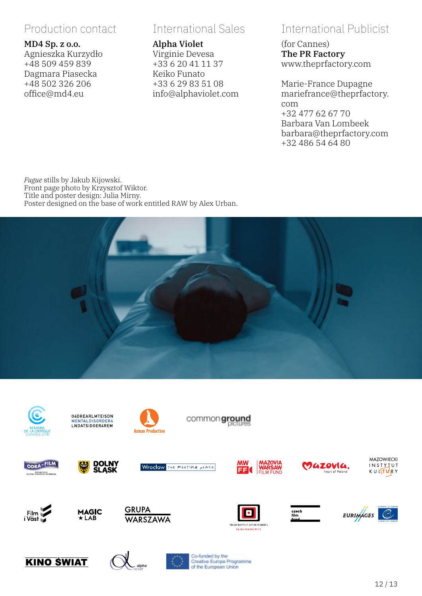#### Production contact

#### MD4 Sp. z o.o.

Agnieszka Kurzydło +48 509 459 839 Dagmara Piasecka +48 502 326 206 office@md4.eu

#### International Sales

#### Alpha Violet

Virginie Devesa +33 6 20 41 11 37 Keiko Funato +33 6 29 83 51 08 info@alphaviolet.com

#### International Publicist

(for Cannes) The PR Factory www.theprfactory.com

Marie-France Dupagne mariefrance@theprfactory. com +32 477 62 67 70 Barbara Van Lombeek barbara@theprfactory.com +32 486 54 64 80

*Fugue* stills by Jakub Kijowski. Front page photo by Krzysztof Wiktor. Title and poster design: Julia Mirny. Poster designed on the base of work entitled RAW by Alex Urban.